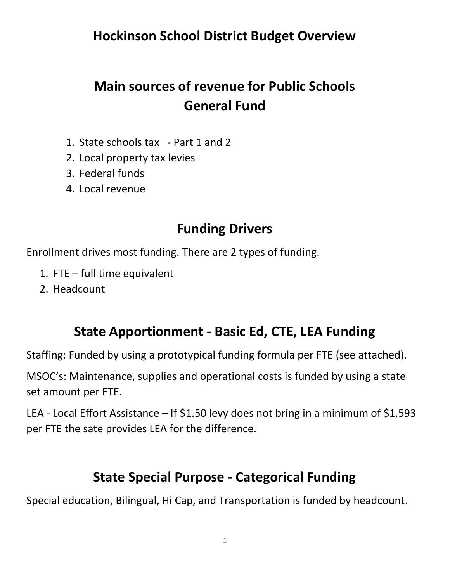Hockinson School District Budget Overview

# Main sources of revenue for Public Schools General Fund

- 1. State schools tax Part 1 and 2
- 2. Local property tax levies
- 3. Federal funds
- 4. Local revenue

### Funding Drivers

Enrollment drives most funding. There are 2 types of funding.

- 1. FTE full time equivalent
- 2. Headcount

## State Apportionment - Basic Ed, CTE, LEA Funding

Staffing: Funded by using a prototypical funding formula per FTE (see attached).

MSOC's: Maintenance, supplies and operational costs is funded by using a state set amount per FTE.

LEA - Local Effort Assistance – If \$1.50 levy does not bring in a minimum of \$1,593 per FTE the sate provides LEA for the difference.

### State Special Purpose - Categorical Funding

Special education, Bilingual, Hi Cap, and Transportation is funded by headcount.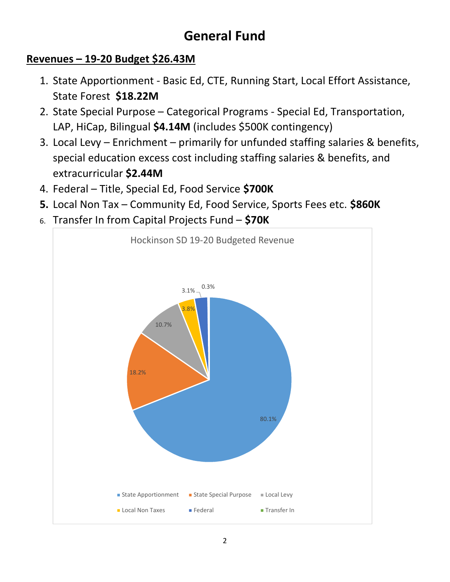## General Fund

#### Revenues – 19-20 Budget \$26.43M

- 1. State Apportionment Basic Ed, CTE, Running Start, Local Effort Assistance, State Forest \$18.22M
- 2. State Special Purpose Categorical Programs Special Ed, Transportation, LAP, HiCap, Bilingual \$4.14M (includes \$500K contingency)
- 3. Local Levy Enrichment primarily for unfunded staffing salaries & benefits, special education excess cost including staffing salaries & benefits, and extracurricular \$2.44M
- 4. Federal Title, Special Ed, Food Service \$700K
- 5. Local Non Tax Community Ed, Food Service, Sports Fees etc. \$860K
- 6. Transfer In from Capital Projects Fund  $-$  \$70K

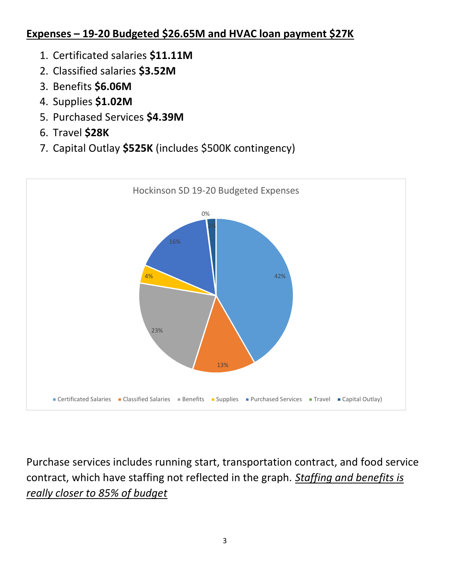#### Expenses – 19-20 Budgeted \$26.65M and HVAC loan payment \$27K

- 1. Certificated salaries \$11.11M
- 2. Classified salaries \$3.52M
- 3. Benefits \$6.06M
- 4. Supplies \$1.02M
- 5. Purchased Services \$4.39M
- 6. Travel \$28K
- 7. Capital Outlay \$525K (includes \$500K contingency)



Purchase services includes running start, transportation contract, and food service contract, which have staffing not reflected in the graph. Staffing and benefits is really closer to 85% of budget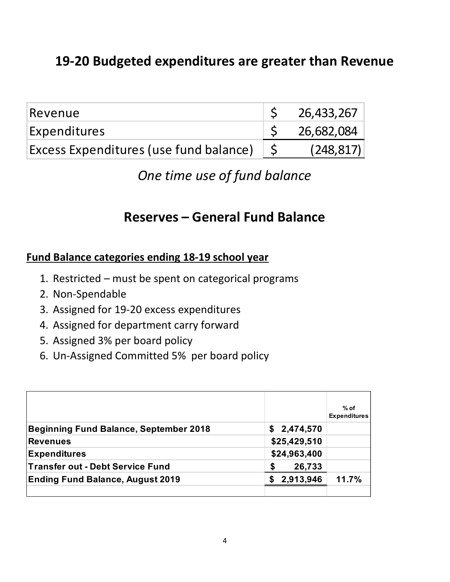## 19-20 Budgeted expenditures are greater than Revenue

| Revenue                                | 26,433,267 |
|----------------------------------------|------------|
| Expenditures                           | 26,682,084 |
| Excess Expenditures (use fund balance) | (248, 817) |

## One time use of fund balance

### Reserves – General Fund Balance

#### Fund Balance categories ending 18-19 school year

- 1. Restricted must be spent on categorical programs
- 2. Non-Spendable
- 3. Assigned for 19-20 excess expenditures
- 4. Assigned for department carry forward
- 5. Assigned 3% per board policy
- 6. Un-Assigned Committed 5% per board policy

|                                                                | Fund Balance categories ending 18-19 school year |                               |
|----------------------------------------------------------------|--------------------------------------------------|-------------------------------|
| 1. Restricted – must be spent on categorical programs          |                                                  |                               |
| 2. Non-Spendable                                               |                                                  |                               |
| 3. Assigned for 19-20 excess expenditures                      |                                                  |                               |
| 4. Assigned for department carry forward                       |                                                  |                               |
| 5. Assigned 3% per board policy                                |                                                  |                               |
| 6. Un-Assigned Committed 5% per board policy                   |                                                  |                               |
|                                                                |                                                  |                               |
|                                                                |                                                  |                               |
|                                                                |                                                  | $%$ of<br><b>Expenditures</b> |
|                                                                |                                                  |                               |
| Beginning Fund Balance, September 2018                         | \$2,474,570                                      |                               |
| <b>Revenues</b>                                                | \$25,429,510                                     |                               |
|                                                                | \$24,963,400                                     |                               |
| <b>Expenditures</b><br><b>Transfer out - Debt Service Fund</b> | \$<br>26,733                                     |                               |